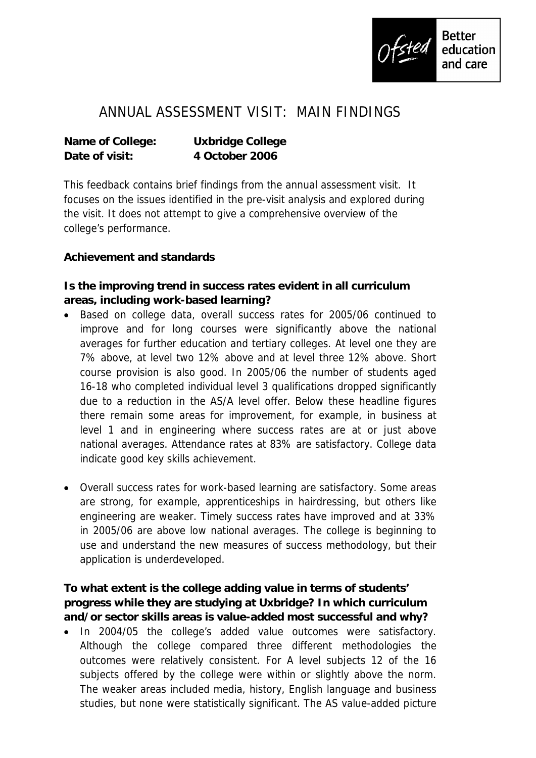

## ANNUAL ASSESSMENT VISIT: MAIN FINDINGS

**Name of College: Uxbridge College Date of visit: 4 October 2006**

This feedback contains brief findings from the annual assessment visit. It focuses on the issues identified in the pre-visit analysis and explored during the visit. It does not attempt to give a comprehensive overview of the college's performance.

**Achievement and standards** 

**Is the improving trend in success rates evident in all curriculum areas, including work-based learning?**

- Based on college data, overall success rates for 2005/06 continued to improve and for long courses were significantly above the national averages for further education and tertiary colleges. At level one they are 7% above, at level two 12% above and at level three 12% above. Short course provision is also good. In 2005/06 the number of students aged 16-18 who completed individual level 3 qualifications dropped significantly due to a reduction in the AS/A level offer. Below these headline figures there remain some areas for improvement, for example, in business at level 1 and in engineering where success rates are at or just above national averages. Attendance rates at 83% are satisfactory. College data indicate good key skills achievement.
- Overall success rates for work-based learning are satisfactory. Some areas are strong, for example, apprenticeships in hairdressing, but others like engineering are weaker. Timely success rates have improved and at 33% in 2005/06 are above low national averages. The college is beginning to use and understand the new measures of success methodology, but their application is underdeveloped.

**To what extent is the college adding value in terms of students' progress while they are studying at Uxbridge? In which curriculum and/or sector skills areas is value-added most successful and why?** 

 In 2004/05 the college's added value outcomes were satisfactory. Although the college compared three different methodologies the outcomes were relatively consistent. For A level subjects 12 of the 16 subjects offered by the college were within or slightly above the norm. The weaker areas included media, history, English language and business studies, but none were statistically significant. The AS value-added picture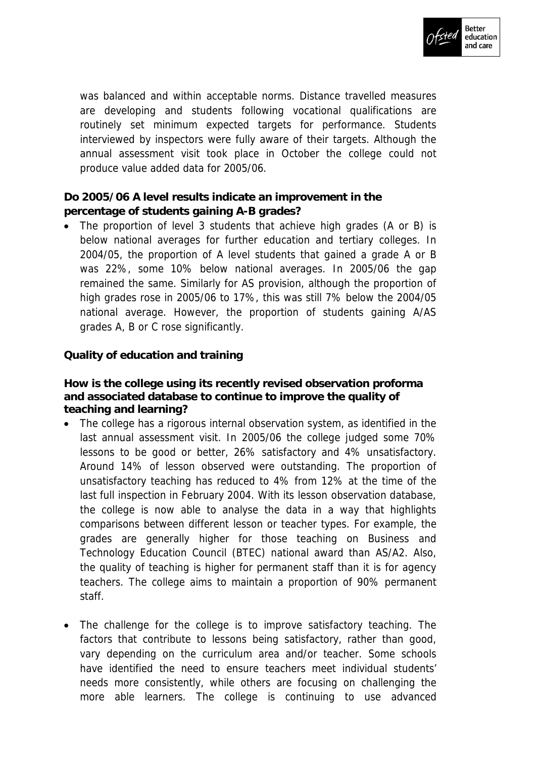

was balanced and within acceptable norms. Distance travelled measures are developing and students following vocational qualifications are routinely set minimum expected targets for performance. Students interviewed by inspectors were fully aware of their targets. Although the annual assessment visit took place in October the college could not produce value added data for 2005/06.

**Do 2005/06 A level results indicate an improvement in the percentage of students gaining A-B grades?** 

• The proportion of level 3 students that achieve high grades (A or B) is below national averages for further education and tertiary colleges. In 2004/05, the proportion of A level students that gained a grade A or B was 22%, some 10% below national averages. In 2005/06 the gap remained the same. Similarly for AS provision, although the proportion of high grades rose in 2005/06 to 17%, this was still 7% below the 2004/05 national average. However, the proportion of students gaining A/AS grades A, B or C rose significantly.

**Quality of education and training**

**How is the college using its recently revised observation proforma and associated database to continue to improve the quality of teaching and learning?** 

- The college has a rigorous internal observation system, as identified in the last annual assessment visit. In 2005/06 the college judged some 70% lessons to be good or better, 26% satisfactory and 4% unsatisfactory. Around 14% of lesson observed were outstanding. The proportion of unsatisfactory teaching has reduced to 4% from 12% at the time of the last full inspection in February 2004. With its lesson observation database, the college is now able to analyse the data in a way that highlights comparisons between different lesson or teacher types. For example, the grades are generally higher for those teaching on Business and Technology Education Council (BTEC) national award than AS/A2. Also, the quality of teaching is higher for permanent staff than it is for agency teachers. The college aims to maintain a proportion of 90% permanent staff.
- The challenge for the college is to improve satisfactory teaching. The factors that contribute to lessons being satisfactory, rather than good, vary depending on the curriculum area and/or teacher. Some schools have identified the need to ensure teachers meet individual students' needs more consistently, while others are focusing on challenging the more able learners. The college is continuing to use advanced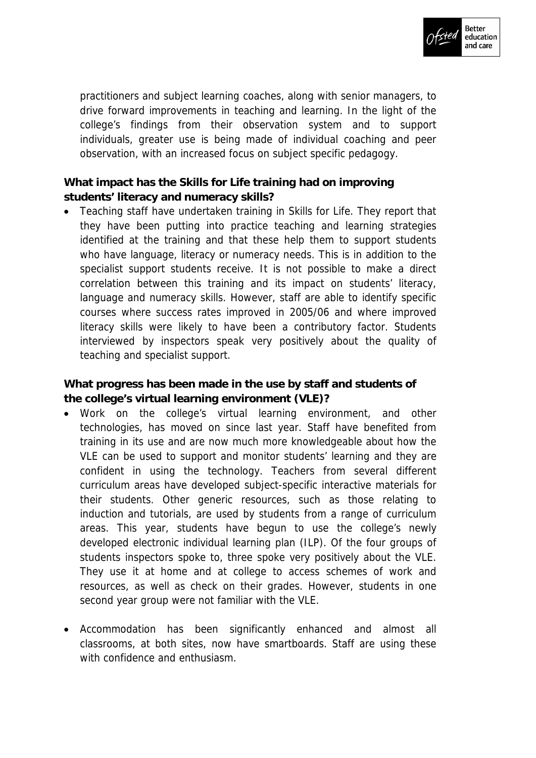

practitioners and subject learning coaches, along with senior managers, to drive forward improvements in teaching and learning. In the light of the college's findings from their observation system and to support individuals, greater use is being made of individual coaching and peer observation, with an increased focus on subject specific pedagogy.

**What impact has the Skills for Life training had on improving students' literacy and numeracy skills?**

 Teaching staff have undertaken training in Skills for Life. They report that they have been putting into practice teaching and learning strategies identified at the training and that these help them to support students who have language, literacy or numeracy needs. This is in addition to the specialist support students receive. It is not possible to make a direct correlation between this training and its impact on students' literacy, language and numeracy skills. However, staff are able to identify specific courses where success rates improved in 2005/06 and where improved literacy skills were likely to have been a contributory factor. Students interviewed by inspectors speak very positively about the quality of teaching and specialist support.

**What progress has been made in the use by staff and students of the college's virtual learning environment (VLE)?**

- Work on the college's virtual learning environment, and other technologies, has moved on since last year. Staff have benefited from training in its use and are now much more knowledgeable about how the VLE can be used to support and monitor students' learning and they are confident in using the technology. Teachers from several different curriculum areas have developed subject-specific interactive materials for their students. Other generic resources, such as those relating to induction and tutorials, are used by students from a range of curriculum areas. This year, students have begun to use the college's newly developed electronic individual learning plan (ILP). Of the four groups of students inspectors spoke to, three spoke very positively about the VLE. They use it at home and at college to access schemes of work and resources, as well as check on their grades. However, students in one second year group were not familiar with the VLE.
- Accommodation has been significantly enhanced and almost all classrooms, at both sites, now have smartboards. Staff are using these with confidence and enthusiasm.